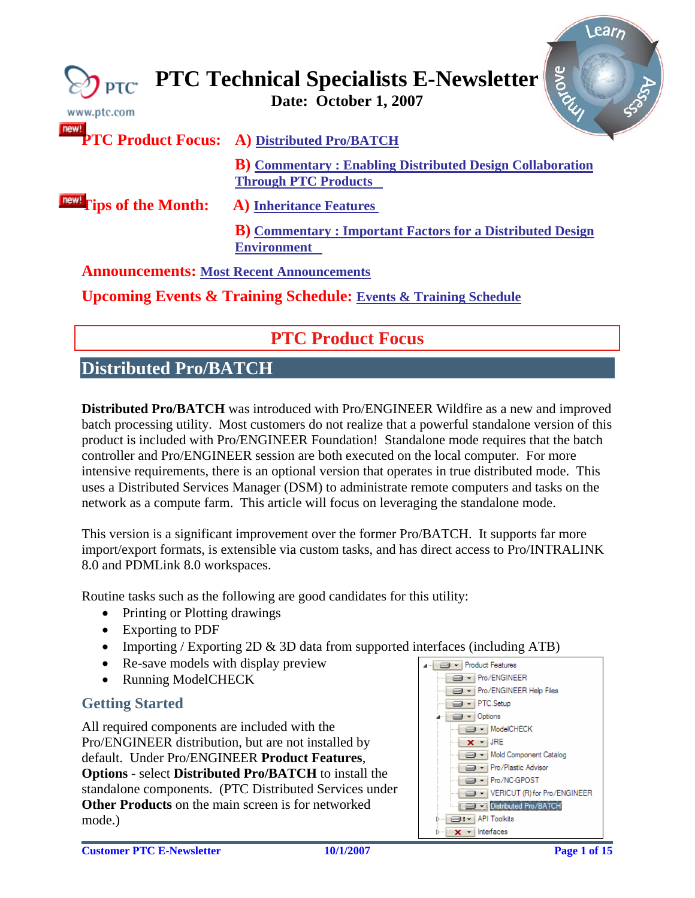<span id="page-0-0"></span>

| $\gtrsim$ PTC<br>www.ptc.com                    | <b>SIONE</b><br><b>PTC Technical Specialists E-Newsletter</b>                                   |
|-------------------------------------------------|-------------------------------------------------------------------------------------------------|
|                                                 | <b>PTC Product Focus: A) Distributed Pro/BATCH</b>                                              |
|                                                 | <b>B</b> ) Commentary: Enabling Distributed Design Collaboration<br><b>Through PTC Products</b> |
| <b>IDEW!</b> Tips of the Month:                 | <b>A) Inheritance Features</b>                                                                  |
|                                                 | <b>B</b> ) Commentary: Important Factors for a Distributed Design<br><b>Environment</b>         |
| <b>Announcements: Most Recent Announcements</b> |                                                                                                 |
|                                                 | <b>Upcoming Events &amp; Training Schedule: Events &amp; Training Schedule</b>                  |

# **PTC Product Focus**

# **Distributed Pro/BATCH**

**Distributed Pro/BATCH** was introduced with Pro/ENGINEER Wildfire as a new and improved batch processing utility. Most customers do not realize that a powerful standalone version of this product is included with Pro/ENGINEER Foundation! Standalone mode requires that the batch controller and Pro/ENGINEER session are both executed on the local computer. For more intensive requirements, there is an optional version that operates in true distributed mode. This uses a Distributed Services Manager (DSM) to administrate remote computers and tasks on the network as a compute farm. This article will focus on leveraging the standalone mode.

This version is a significant improvement over the former Pro/BATCH. It supports far more import/export formats, is extensible via custom tasks, and has direct access to Pro/INTRALINK 8.0 and PDMLink 8.0 workspaces.

Routine tasks such as the following are good candidates for this utility:

- Printing or Plotting drawings
- Exporting to PDF
- Importing / Exporting 2D & 3D data from supported interfaces (including ATB)
- Re-save models with display preview
- Running ModelCHECK

## **Getting Started**

All required components are included with the Pro/ENGINEER distribution, but are not installed by default. Under Pro/ENGINEER **Product Features**, **Options** - select **Distributed Pro/BATCH** to install the standalone components. (PTC Distributed Services under **Other Products** on the main screen is for networked mode.)



*<u>Nearn</u>*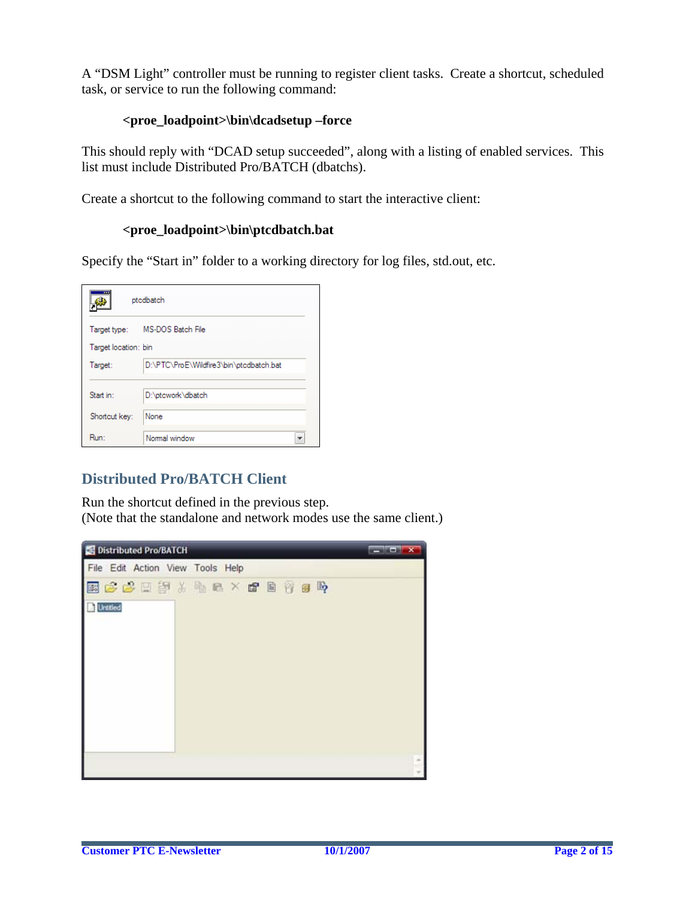A "DSM Light" controller must be running to register client tasks. Create a shortcut, scheduled task, or service to run the following command:

#### **<proe\_loadpoint>\bin\dcadsetup –force**

This should reply with "DCAD setup succeeded", along with a listing of enabled services. This list must include Distributed Pro/BATCH (dbatchs).

Create a shortcut to the following command to start the interactive client:

#### **<proe\_loadpoint>\bin\ptcdbatch.bat**

Specify the "Start in" folder to a working directory for log files, std.out, etc.

|                      | ptcdbatch                               |
|----------------------|-----------------------------------------|
| Target type:         | MS-DOS Batch File                       |
| Target location: bin |                                         |
| Target:              | D:\PTC\ProE\Wildfire3\bin\ptcdbatch.bat |
| Start in:            | D:\ptcwork\dbatch                       |
| Shortcut key:        | None                                    |
| Run:                 | Normal window                           |

## **Distributed Pro/BATCH Client**

Run the shortcut defined in the previous step. (Note that the standalone and network modes use the same client.)

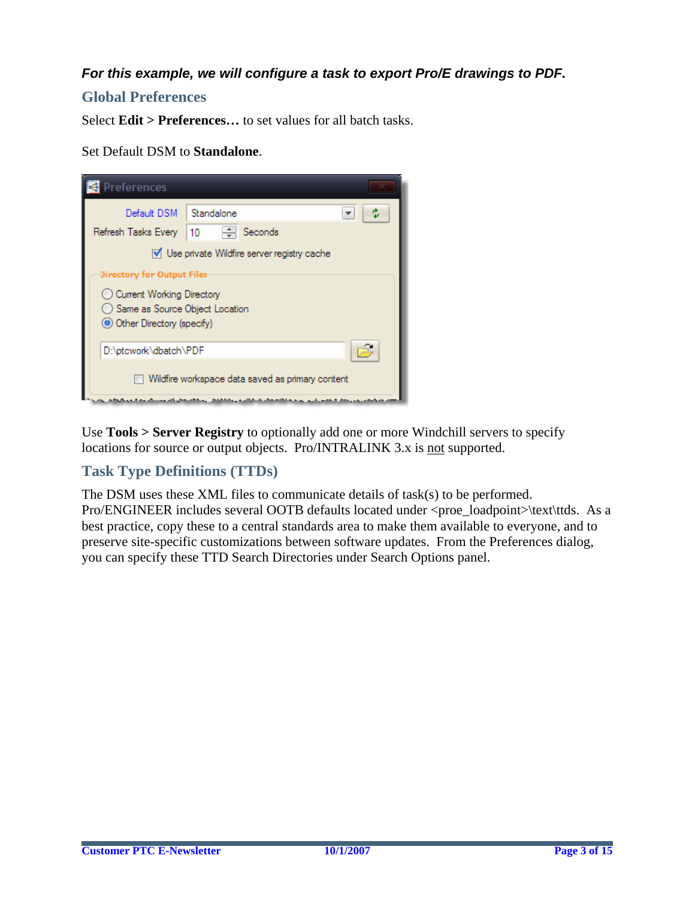## *For this example, we will configure a task to export Pro/E drawings to PDF.*

### **Global Preferences**

Select **Edit > Preferences…** to set values for all batch tasks.

Set Default DSM to **Standalone**.

| Preferences                                      |                                                     |  |  |  |  |  |
|--------------------------------------------------|-----------------------------------------------------|--|--|--|--|--|
| Default DSM                                      | Standalone                                          |  |  |  |  |  |
| Refresh Tasks Every                              | Seconds<br>10                                       |  |  |  |  |  |
|                                                  | $\nabla$ Use private Wildfire server registry cache |  |  |  |  |  |
| Directory for Output Files                       |                                                     |  |  |  |  |  |
| ◯ Current Working Directory                      |                                                     |  |  |  |  |  |
| ◯ Same as Source Object Location                 |                                                     |  |  |  |  |  |
|                                                  | Other Directory (specify)                           |  |  |  |  |  |
| D:\ptcwork\dbatch\PDF                            |                                                     |  |  |  |  |  |
| Wildfire workspace data saved as primary content |                                                     |  |  |  |  |  |

Use **Tools > Server Registry** to optionally add one or more Windchill servers to specify locations for source or output objects. Pro/INTRALINK 3.x is not supported.

## **Task Type Definitions (TTDs)**

The DSM uses these XML files to communicate details of task(s) to be performed. Pro/ENGINEER includes several OOTB defaults located under <proe\_loadpoint>\text\ttds. As a best practice, copy these to a central standards area to make them available to everyone, and to preserve site-specific customizations between software updates. From the Preferences dialog, you can specify these TTD Search Directories under Search Options panel.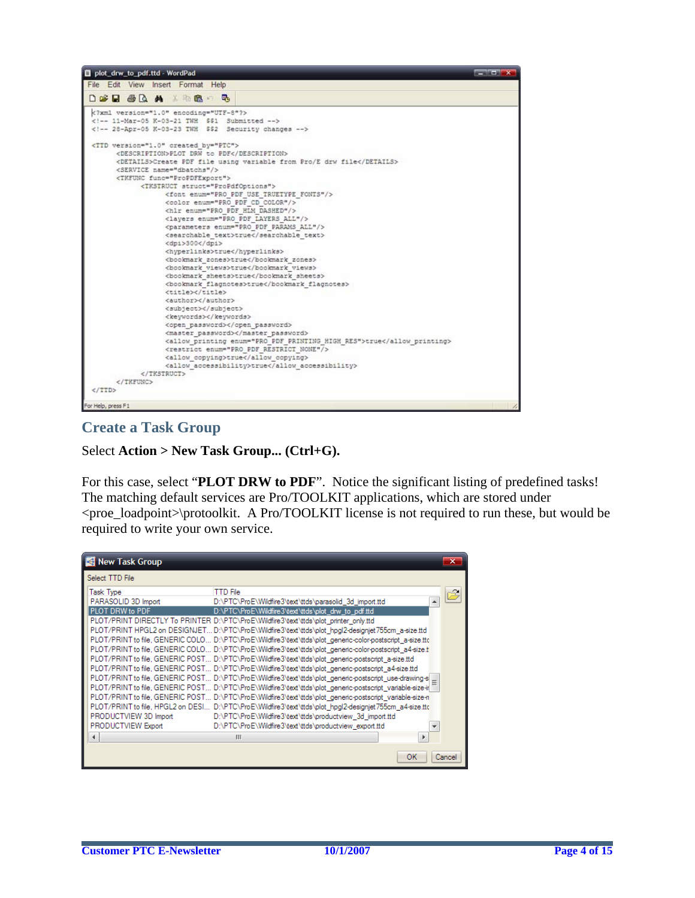| plot_drw_to_pdf.ttd - WordPad<br><b>Report Follows</b>                |
|-----------------------------------------------------------------------|
| File Edit View Insert Format Help                                     |
|                                                                       |
| DER & D. A & R. B. R                                                  |
| xml version="1.0" encoding="UTF-8"?                                   |
| 11-Mar-05 K-03-21 TWH \$\$1 Submitted                                 |
| 28-Apr-05 K-03-23 TWH \$\$2 Security changes                          |
|                                                                       |
| <ttd by="PTC" created="" version="1.0"></ttd>                         |
| <description>PLOT DRW to PDF</description>                            |
| <details>Create PDF file using variable from Pro/E drw file</details> |
| <service name="dbatchs"></service>                                    |
| <tkfunc func="ProPDFExport"></tkfunc>                                 |
| <tkstruct struct="ProPdfOptions"></tkstruct>                          |
| <font enum="PRO PDF USE TRUETYPE FONTS"></font>                       |
| <color enum="PRO PDF CD COLOR"></color>                               |
| <hlr enum="PRO PDF HLM DASHED"></hlr>                                 |
| <layers enum="PRO PDF LAYERS ALL"></layers>                           |
| <parameters enum="PRO PDF PARAMS ALL"></parameters>                   |
| <searchable text="">true</searchable>                                 |
| <dpi>300</dpi>                                                        |
| <hyperlinks>true</hyperlinks>                                         |
| <bookmark zones="">true</bookmark>                                    |
| <bookmark views="">true</bookmark>                                    |
| <bookmark sheets="">true</bookmark>                                   |
| <bookmark flagnotes="">true</bookmark>                                |
| <title></title>                                                       |
| <author></author>                                                     |
| <subject></subject>                                                   |
| <keywords></keywords>                                                 |
| <open password=""></open>                                             |
| <master password=""></master>                                         |
| <allow enum="PRO PDF PRINTING HIGH RES" printing="">true</allow>      |
| <restrict enum="PRO PDF RESTRICT NONE"></restrict>                    |
| <allow copying="">true</allow>                                        |
| <allow accessibility="">true</allow>                                  |
| <br>                                                                  |
| $<$ /TTD>                                                             |
|                                                                       |
| For Help, press F1                                                    |

## **Create a Task Group**

Select **Action > New Task Group... (Ctrl+G).** 

For this case, select "**PLOT DRW to PDF**". Notice the significant listing of predefined tasks! The matching default services are Pro/TOOLKIT applications, which are stored under <proe\_loadpoint>\protoolkit. A Pro/TOOLKIT license is not required to run these, but would be required to write your own service.

| New Task Group                                                                                                                    |                                                                                                                                                                                                                                                                                                                                                                                                                                                                                                                                                                                                                                                                                                                                                                                                                                                                                                                                                                                                                                                                                                                                                                                                                                                                                                                                                                         | $\overline{\mathsf{x}}$ |
|-----------------------------------------------------------------------------------------------------------------------------------|-------------------------------------------------------------------------------------------------------------------------------------------------------------------------------------------------------------------------------------------------------------------------------------------------------------------------------------------------------------------------------------------------------------------------------------------------------------------------------------------------------------------------------------------------------------------------------------------------------------------------------------------------------------------------------------------------------------------------------------------------------------------------------------------------------------------------------------------------------------------------------------------------------------------------------------------------------------------------------------------------------------------------------------------------------------------------------------------------------------------------------------------------------------------------------------------------------------------------------------------------------------------------------------------------------------------------------------------------------------------------|-------------------------|
| Select TTD File                                                                                                                   |                                                                                                                                                                                                                                                                                                                                                                                                                                                                                                                                                                                                                                                                                                                                                                                                                                                                                                                                                                                                                                                                                                                                                                                                                                                                                                                                                                         |                         |
| <b>Task Type</b><br>PARASOLID 3D Import<br>PLOT DRW to PDF<br>PRODUCTVIEW 3D Import<br>PRODUCTVIEW Export<br>$\blacktriangleleft$ | <b>TTD File</b><br>D:\PTC\ProE\Wildfire3\text\ttds\parasolid 3d import.ttd<br>D:\PTC\ProE\Wildfire3\text\ttds\plot_drw_to_pdf.ttd<br>PLOT/PRINT DIRECTLY To PRINTER D:\PTC\ProE\Wildfire3\text\ttds\plot_printer_only.ttd<br>PLOT/PRINT HPGL2 on DESIGNJET D:\PTC\ProE\Wildfire3\text\ttds\plot_hpgl2-designjet755cm_a-size.ttd<br>PLOT/PRINT to file. GENERIC COLO D:\PTC\ProE\Wildfire3\text\ttds\plot_qeneric-color-postscript_a-size.ttd<br>PLOT/PRINT to file, GENERIC COLO D:\PTC\ProE\Wildfire3\text\ttds\plot_generic-color-postscript_a4-size.tl<br>PLOT/PRINT to file. GENERIC POST D:\PTC\ProE\Wildfire3\text\ttds\plot_generic-postscript_a-size.ttd<br>PLOT/PRINT to file. GENERIC POST D:\PTC\ProE\Wildfire3\text\ttds\plot_generic-postscript_a4-size.ttd<br>PLOT/PRINT to file, GENERIC POST D:\PTC\ProE\Wildfire3\text\ttds\plot_generic-postscript_use-drawing-s  _<br>PLOT/PRINT to file, GENERIC POST D:\PTC\ProE\Wildfire3\text\ttds\plot_generic-postscript_variable-size-irl<br>PLOT/PRINT to file, GENERIC POST D:\PTC\ProE\Wildfire3\text\ttds\plot_generic-postscript_variable-size-ri<br>PLOT/PRINT to file, HPGL2 on DESI D:\PTC\ProE\Wildfire3\text\ttds\plot_hpgl2-designiet755cm_a4-size.ttd<br>D:\PTC\ProE\Wildfire3\text\ttds\productview 3d import.ttd<br>D:\PTC\ProE\Wildfire3\text\ttds\productview_export.ttd<br>Ш<br>$\mathbf{r}$ | ▲<br>▼                  |
|                                                                                                                                   | ОК                                                                                                                                                                                                                                                                                                                                                                                                                                                                                                                                                                                                                                                                                                                                                                                                                                                                                                                                                                                                                                                                                                                                                                                                                                                                                                                                                                      | Cancel                  |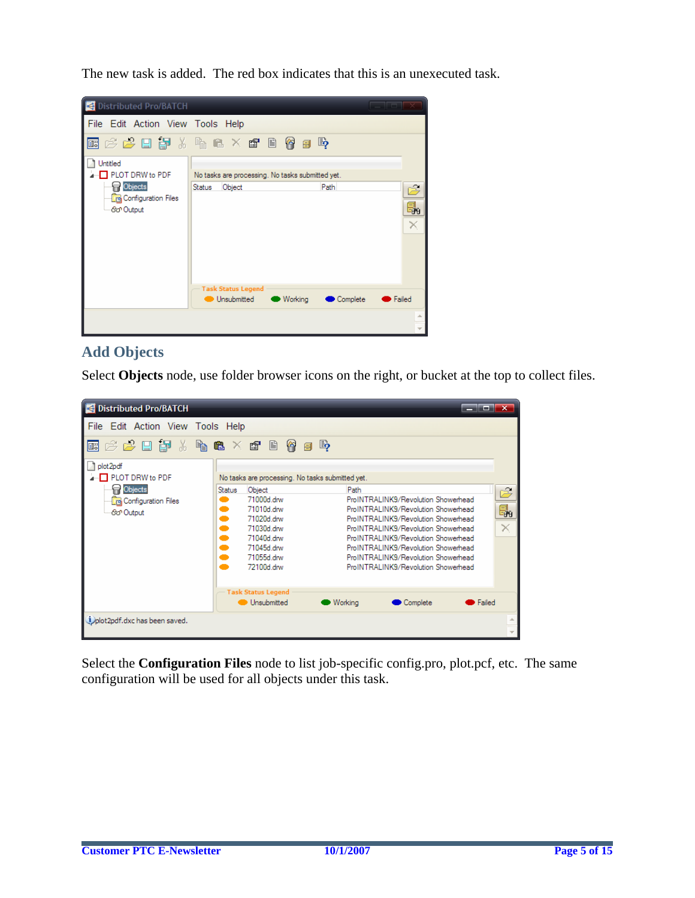The new task is added. The red box indicates that this is an unexecuted task.

| Distributed Pro/BATCH                                                |                                                                        |               |
|----------------------------------------------------------------------|------------------------------------------------------------------------|---------------|
| File Edit Action View Tools Help                                     |                                                                        |               |
|                                                                      | 西安峰巴昂人名名人名日约日号                                                         |               |
| Untitled<br>PLOT DRW to PDF                                          | No tasks are processing. No tasks submitted yet.                       |               |
| $\Box$ Objects<br><b>Re</b> Configuration Files<br><b>Got Output</b> | Path<br><b>Status</b><br>Object                                        | 中山            |
|                                                                      | <b>Task Status Legend</b><br><b>Unsubmitted</b><br>Complete<br>Working | <b>Exiled</b> |
|                                                                      |                                                                        |               |

## **Add Objects**

Select **Objects** node, use folder browser icons on the right, or bucket at the top to collect files.

| <b>B</b> Distributed Pro/BATCH<br>$\boldsymbol{\mathsf{x}}$<br>œ                    |                                                    |                                                                                                                        |                       |                |                                                                                                                                                                                                                                                                                                                      |        |                               |
|-------------------------------------------------------------------------------------|----------------------------------------------------|------------------------------------------------------------------------------------------------------------------------|-----------------------|----------------|----------------------------------------------------------------------------------------------------------------------------------------------------------------------------------------------------------------------------------------------------------------------------------------------------------------------|--------|-------------------------------|
| File Edit Action View Tools Help                                                    |                                                    |                                                                                                                        |                       |                |                                                                                                                                                                                                                                                                                                                      |        |                               |
| 序序日期 & 临危×虚目<br>國                                                                   |                                                    | 傛                                                                                                                      | $\mathbb{E}_{2}$<br>匐 |                |                                                                                                                                                                                                                                                                                                                      |        |                               |
| plot <sub>2pdf</sub><br>PLOT DRW to PDF                                             |                                                    | No tasks are processing. No tasks submitted yet.                                                                       |                       |                |                                                                                                                                                                                                                                                                                                                      |        |                               |
| $\blacksquare$ Objects<br><b>Dra</b> Configuration Files<br><b><i>Go</i></b> Output | <b>Status</b><br>e i<br>œ<br>œ<br>œ<br>œ<br>œ<br>œ | Object<br>71000d.drw<br>71010d.drw<br>71020d drw<br>71030d.drw<br>71040d.drw<br>71045d.drw<br>71055d.drw<br>72100d.drw |                       | Path           | ProINTRALINK9/Revolution Showerhead<br>ProINTRALINK9/Revolution Showerhead<br>ProINTRALINK9/Revolution Showerhead<br>ProINTRALINK9/Revolution Showerhead<br>ProINTRALINK9/Revolution Showerhead<br>ProINTRALINK9/Revolution Showerhead<br>ProINTRALINK9/Revolution Showerhead<br>ProINTRALINK9/Revolution Showerhead |        | ÿ.<br>昂.<br>×                 |
|                                                                                     |                                                    | <b>Task Status Legend</b><br><b>Unsubmitted</b>                                                                        |                       | <b>Working</b> | Complete                                                                                                                                                                                                                                                                                                             | Failed |                               |
| plot2pdf.dxc has been saved.                                                        |                                                    |                                                                                                                        |                       |                |                                                                                                                                                                                                                                                                                                                      |        | ۸<br>$\overline{\phantom{a}}$ |

Select the **Configuration Files** node to list job-specific config.pro, plot.pcf, etc. The same configuration will be used for all objects under this task.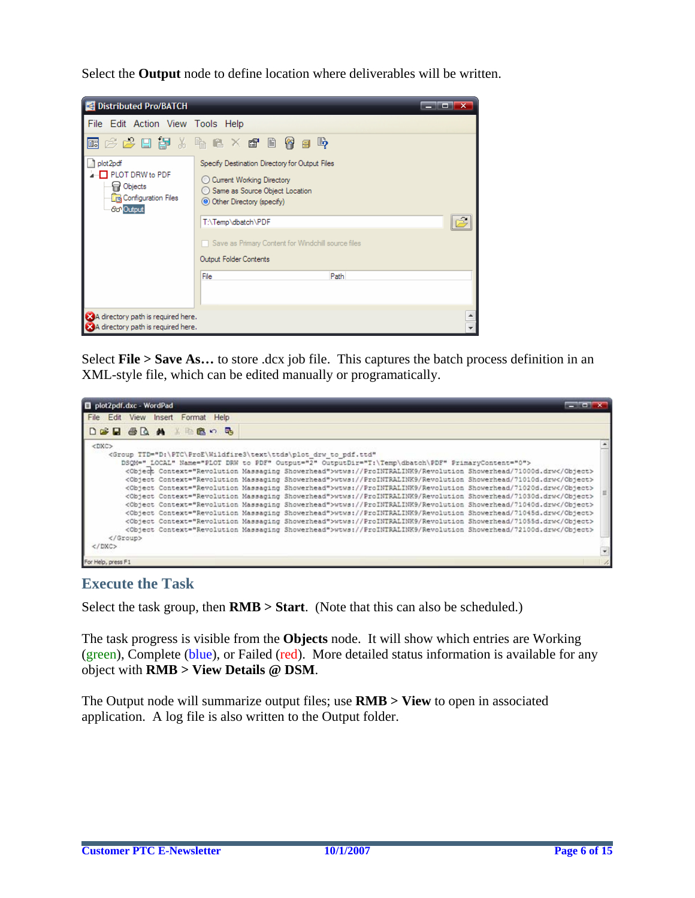Select the **Output** node to define location where deliverables will be written.



Select **File > Save As...** to store .dcx job file. This captures the batch process definition in an XML-style file, which can be edited manually or programatically.

| plot2pdf.dxc - WordPad                                                                                                                                                                                                                                                                                                                                                                                                                                                                                                                                                                                                                                                                                                                                                                                                                                                                                                                                                                                                                                                                                                           |
|----------------------------------------------------------------------------------------------------------------------------------------------------------------------------------------------------------------------------------------------------------------------------------------------------------------------------------------------------------------------------------------------------------------------------------------------------------------------------------------------------------------------------------------------------------------------------------------------------------------------------------------------------------------------------------------------------------------------------------------------------------------------------------------------------------------------------------------------------------------------------------------------------------------------------------------------------------------------------------------------------------------------------------------------------------------------------------------------------------------------------------|
| File<br>View Insert Format<br>Help<br>Edit                                                                                                                                                                                                                                                                                                                                                                                                                                                                                                                                                                                                                                                                                                                                                                                                                                                                                                                                                                                                                                                                                       |
| DER & Q A X R & O &                                                                                                                                                                                                                                                                                                                                                                                                                                                                                                                                                                                                                                                                                                                                                                                                                                                                                                                                                                                                                                                                                                              |
| <dxc><br/><group <="" th="" ttd="D:\PTC\ProE\Wildfire3\text\ttds\plot drw to pdf.ttd"></group></dxc>                                                                                                                                                                                                                                                                                                                                                                                                                                                                                                                                                                                                                                                                                                                                                                                                                                                                                                                                                                                                                             |
| DSQM=" LOCAL" Name="PLOT DRW to PDF" Output="2" OutputDir="T:\Temp\dbatch\PDF" PrimaryContent="0"><br><object context="Revolution Massaging Showerhead">wtws://ProINTRALINK9/Revolution Showerhead/71000d.drw</object><br><object context="Revolution Massaging Showerhead">wtws://ProINTRALINK9/Revolution Showerhead/71010d.drw</object><br><object context="Revolution Massaging Showerhead">wtws://ProINTRALINK9/Revolution Showerhead/71020d.drw</object><br><object context="Revolution Massaging Showerhead">wtws://ProINTRALINK9/Revolution Showerhead/71030d.drw</object><br><object context="Revolution Massaging Showerhead">wtws://ProINTRALINK9/Revolution Showerhead/71040d.drw</object><br><object context="Revolution Massaging Showerhead">wtws://ProINTRALINK9/Revolution Showerhead/71045d.drw</object><br><object context="Revolution Massaging Showerhead">wtws://ProINTRALINK9/Revolution Showerhead/71055d.drw</object><br><object context="Revolution Massaging Showerhead">wtws://FroINTRALINK9/Revolution Showerhead/72100d.drw</object><br>$\langle$ /Group><br>$<$ /DXC><br>$\overline{\phantom{a}}$ |
| For Help, press F1                                                                                                                                                                                                                                                                                                                                                                                                                                                                                                                                                                                                                                                                                                                                                                                                                                                                                                                                                                                                                                                                                                               |

**Execute the Task**

Select the task group, then **RMB > Start**. (Note that this can also be scheduled.)

The task progress is visible from the **Objects** node. It will show which entries are Working (green), Complete (blue), or Failed (red). More detailed status information is available for any object with **RMB > View Details @ DSM**.

The Output node will summarize output files; use **RMB > View** to open in associated application. A log file is also written to the Output folder.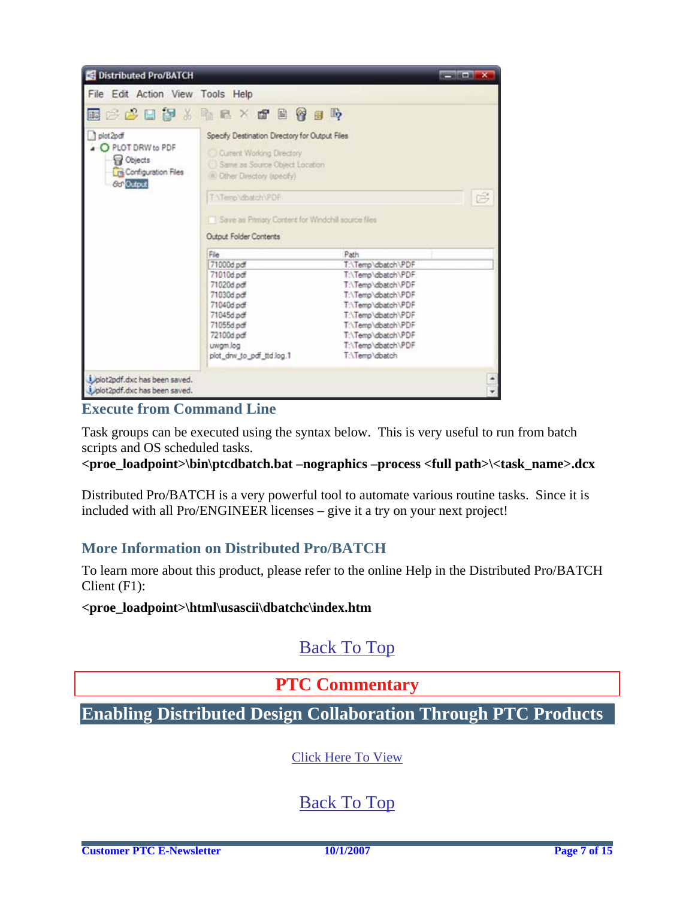<span id="page-6-0"></span>

| Distributed Pro/BATCH                                                                                    |                                                                                                                                                                                                                               |                                                                                                                                                                                                                      | <b>Report Follows</b> |
|----------------------------------------------------------------------------------------------------------|-------------------------------------------------------------------------------------------------------------------------------------------------------------------------------------------------------------------------------|----------------------------------------------------------------------------------------------------------------------------------------------------------------------------------------------------------------------|-----------------------|
| File Edit Action View Tools Help                                                                         |                                                                                                                                                                                                                               |                                                                                                                                                                                                                      |                       |
|                                                                                                          | <b>国产成日部人自己×由日常日的</b>                                                                                                                                                                                                         |                                                                                                                                                                                                                      |                       |
| 1 plot <sub>2pdf</sub><br>O PLOT DRW to PDF<br><b>Objects</b><br>Configuration Files<br><b>Go Output</b> | Specify Destination Directory for Output Files<br>C Current Working Drectory<br>Same as Source Object Location<br>(iii) Other Directory (specify).<br>TATemp'dbatch\PDF<br>Save as Primary Content for Windchill source files |                                                                                                                                                                                                                      | É                     |
|                                                                                                          | Output Folder Contents<br>File                                                                                                                                                                                                | Path                                                                                                                                                                                                                 |                       |
|                                                                                                          | 71000d pdf<br>71010d pdf<br>71020d pdf<br>71030d pdf<br>71040d pdf<br>71045d pdf<br>71055d pdf<br>72100d pdf<br>uwgm.log<br>plot_drw_to_pdf_ttd.log.1                                                                         | T:\Temp\dbatch\PDF<br>T:\Temp\dbatch\PDF<br>T:\Temp\dbatch\PDF<br>T:\Temp\dbatch\PDF<br>T:\Temp\dbatch\PDF<br>T:\Temp\dbatch\PDF<br>T:\Temp\dbatch\PDF<br>T:\Temp\dbatch\PDF<br>T:\Temp\dbatch\PDF<br>T:\Temp\dbatch |                       |
| JolotZpdf.dxc has been saved.<br>Jolot2pdf.dxc has been saved.                                           |                                                                                                                                                                                                                               |                                                                                                                                                                                                                      |                       |

### **Execute from Command Line**

Task groups can be executed using the syntax below. This is very useful to run from batch scripts and OS scheduled tasks.

**<proe\_loadpoint>\bin\ptcdbatch.bat –nographics –process <full path>\<task\_name>.dcx** 

Distributed Pro/BATCH is a very powerful tool to automate various routine tasks. Since it is included with all Pro/ENGINEER licenses – give it a try on your next project!

### **More Information on Distributed Pro/BATCH**

To learn more about this product, please refer to the online Help in the Distributed Pro/BATCH Client (F1):

**<proe\_loadpoint>\html\usascii\dbatchc\index.htm**

## [Back To Top](#page-0-0)

## **PTC Commentary**

**Enabling Distributed Design Collaboration Through PTC Products** 

### [Click Here To View](http://members.shaw.ca/jpeng/newsletter/PTC_Technical_Specialists_E-Newsletter_10-01-2007_enterprise.pdf)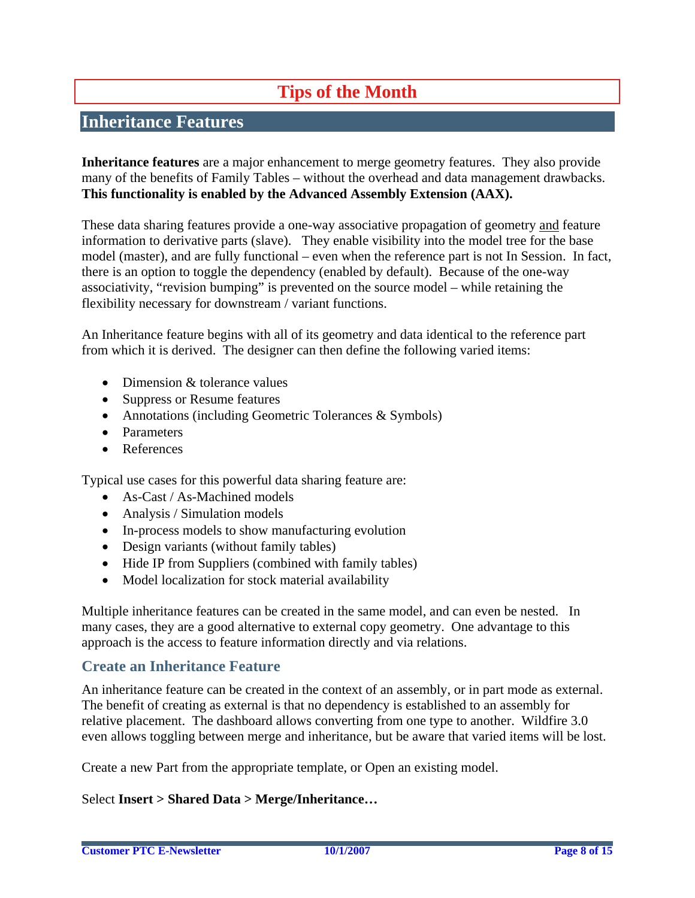# **Tips of the Month**

## <span id="page-7-0"></span>**Inheritance Features**

**Inheritance features** are a major enhancement to merge geometry features. They also provide many of the benefits of Family Tables – without the overhead and data management drawbacks. **This functionality is enabled by the Advanced Assembly Extension (AAX).**

These data sharing features provide a one-way associative propagation of geometry and feature information to derivative parts (slave). They enable visibility into the model tree for the base model (master), and are fully functional – even when the reference part is not In Session. In fact, there is an option to toggle the dependency (enabled by default). Because of the one-way associativity, "revision bumping" is prevented on the source model – while retaining the flexibility necessary for downstream / variant functions.

An Inheritance feature begins with all of its geometry and data identical to the reference part from which it is derived. The designer can then define the following varied items:

- Dimension & tolerance values
- Suppress or Resume features
- Annotations (including Geometric Tolerances & Symbols)
- Parameters
- References

Typical use cases for this powerful data sharing feature are:

- As-Cast / As-Machined models
- Analysis / Simulation models
- In-process models to show manufacturing evolution
- Design variants (without family tables)
- Hide IP from Suppliers (combined with family tables)
- Model localization for stock material availability

Multiple inheritance features can be created in the same model, and can even be nested. In many cases, they are a good alternative to external copy geometry. One advantage to this approach is the access to feature information directly and via relations.

### **Create an Inheritance Feature**

An inheritance feature can be created in the context of an assembly, or in part mode as external. The benefit of creating as external is that no dependency is established to an assembly for relative placement. The dashboard allows converting from one type to another. Wildfire 3.0 even allows toggling between merge and inheritance, but be aware that varied items will be lost.

Create a new Part from the appropriate template, or Open an existing model.

#### Select **Insert > Shared Data > Merge/Inheritance…**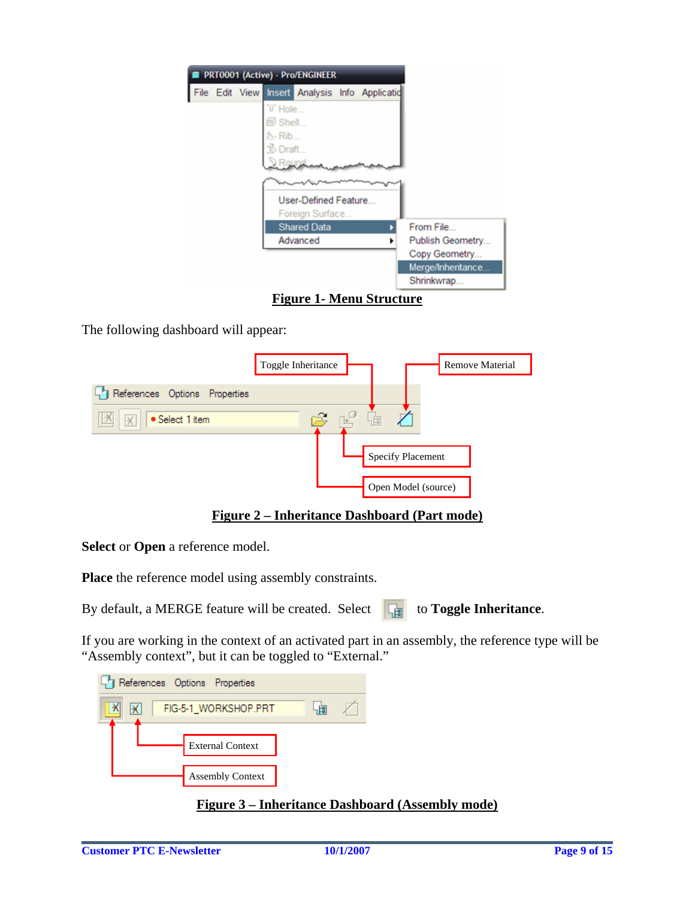|  |                |                  | PRT0001 (Active) - Pro/ENGINEER |  |  |
|--|----------------|------------------|---------------------------------|--|--|
|  | File Edit View |                  | Insert Analysis Info Applicatio |  |  |
|  |                | U Hole           |                                 |  |  |
|  |                | 回 Shell          |                                 |  |  |
|  |                | $\mathbb{N}$ Rib |                                 |  |  |
|  |                | પૈ∖Draft…        |                                 |  |  |
|  |                | ) Round          |                                 |  |  |
|  |                |                  |                                 |  |  |
|  |                |                  | User-Defined Feature            |  |  |
|  |                |                  | Foreign Surface                 |  |  |
|  |                |                  | <b>Shared Data</b>              |  |  |
|  |                |                  | Advanced                        |  |  |
|  |                |                  |                                 |  |  |
|  |                |                  |                                 |  |  |
|  |                |                  |                                 |  |  |

**Figure 1- Menu Structure**

The following dashboard will appear:



**Figure 2 – Inheritance Dashboard (Part mode)**

**Select** or **Open** a reference model.

**Place** the reference model using assembly constraints.

By default, a MERGE feature will be created. Select **The last of Toggle Inheritance**.

If you are working in the context of an activated part in an assembly, the reference type will be "Assembly context", but it can be toggled to "External."



### **Figure 3 – Inheritance Dashboard (Assembly mode)**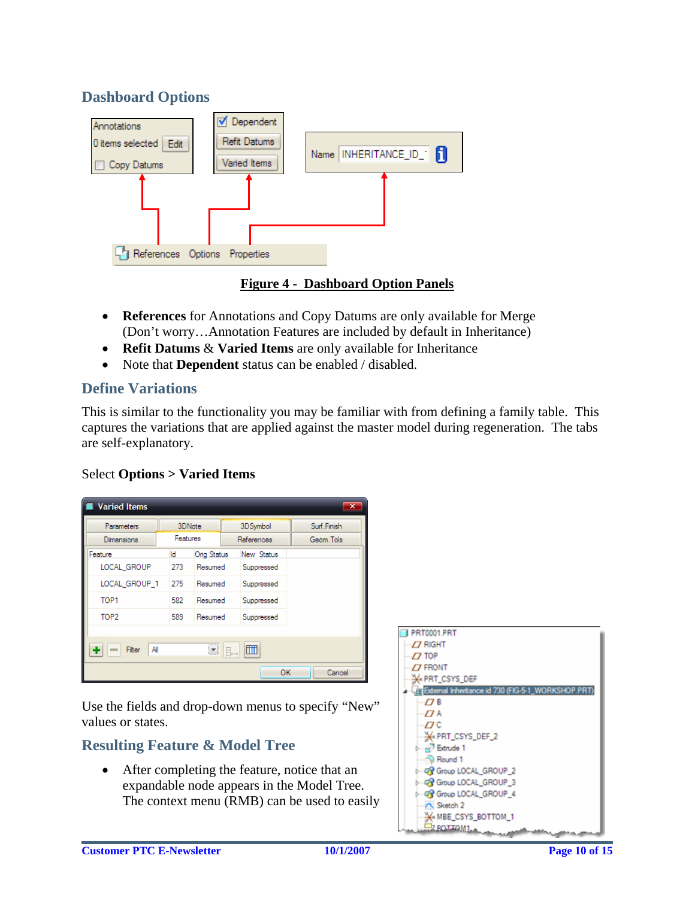## **Dashboard Options**



## **Figure 4 - Dashboard Option Panels**

- **References** for Annotations and Copy Datums are only available for Merge (Don't worry…Annotation Features are included by default in Inheritance)
- **Refit Datums** & **Varied Items** are only available for Inheritance
- Note that **Dependent** status can be enabled / disabled.

## **Define Variations**

This is similar to the functionality you may be familiar with from defining a family table. This captures the variations that are applied against the master model during regeneration. The tabs are self-explanatory.

### Select **Options > Varied Items**

| <b>Varied Items</b> |          |             |               |            | $\overline{\mathbf{x}}$ |
|---------------------|----------|-------------|---------------|------------|-------------------------|
| Parameters          | 3DNote   |             | 3DSymbol      |            | Surf Finish             |
| <b>Dimensions</b>   | Features |             |               | References | Geom. Tols              |
| Feature             | Id       | Orig Status |               | New Status |                         |
| LOCAL_GROUP         | 273      | Resumed     |               | Suppressed |                         |
| LOCAL_GROUP_1       | 275      | Resumed     |               | Suppressed |                         |
| TOP <sub>1</sub>    | 582      | Resumed     |               | Suppressed |                         |
| TOP <sub>2</sub>    | 589      | Resumed     |               | Suppressed |                         |
|                     |          |             |               |            |                         |
| Filter<br>All<br>٠  |          |             | $\Box$ $\Box$ | 圃          |                         |
|                     |          |             |               | OK         | Cancel                  |

Use the fields and drop-down menus to specify "New" values or states.

## **Resulting Feature & Model Tree**

• After completing the feature, notice that an expandable node appears in the Model Tree. The context menu (RMB) can be used to easily

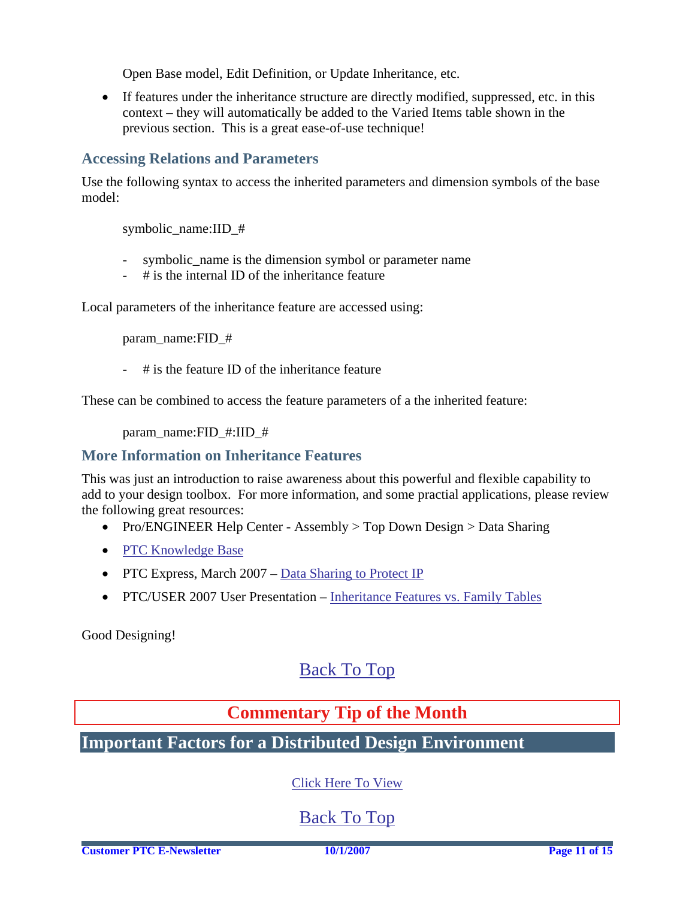Open Base model, Edit Definition, or Update Inheritance, etc.

<span id="page-10-0"></span>• If features under the inheritance structure are directly modified, suppressed, etc. in this context – they will automatically be added to the Varied Items table shown in the previous section. This is a great ease-of-use technique!

## **Accessing Relations and Parameters**

Use the following syntax to access the inherited parameters and dimension symbols of the base model:

symbolic\_name:IID\_#

- symbolic\_name is the dimension symbol or parameter name
- # is the internal ID of the inheritance feature

Local parameters of the inheritance feature are accessed using:

param\_name:FID\_#

 $#$  is the feature ID of the inheritance feature

These can be combined to access the feature parameters of a the inherited feature:

param\_name:FID\_#:IID\_#

### **More Information on Inheritance Features**

This was just an introduction to raise awareness about this powerful and flexible capability to add to your design toolbox. For more information, and some practial applications, please review the following great resources:

- Pro/ENGINEER Help Center Assembly > Top Down Design > Data Sharing
- [PTC Knowledge Base](http://www.ptc.com/search/cs/kdb/results.jsp?lang=en&DN=1&Group1=&Sort1=&NDD=&c=kdb_search&display_type=&QS=inheritance+feature&QT=32&Product1=Pro%2FENGINEER&Module1=&Release1=&KDBLIB=cs_kdb2_tan&KDBLIB=cs_kdb2_tpi&KDBLIB=cs_kdb_howto&KDBLIB=cs_kdb2_spr&Language=en)
- PTC Express, March 2007 – [Data Sharing to Protect IP](http://www.imakenews.com/ptcexpress/e_article000760491.cfm?x=b11,0,w)
- PTC/USER 2007 User Presentation – [Inheritance Features vs. Family Tables](http://www.ptcuser.org/2007/updates/Iverson.ppt)

Good Designing!

## [Back To Top](#page-0-0)

## **Commentary Tip of the Month**

**Important Factors for a Distributed Design Environment** 

[Click Here To View](http://members.shaw.ca/jpeng/newsletter/PTC_Technical_Specialists_E-Newsletter_10-01-2007_enterprise.pdf)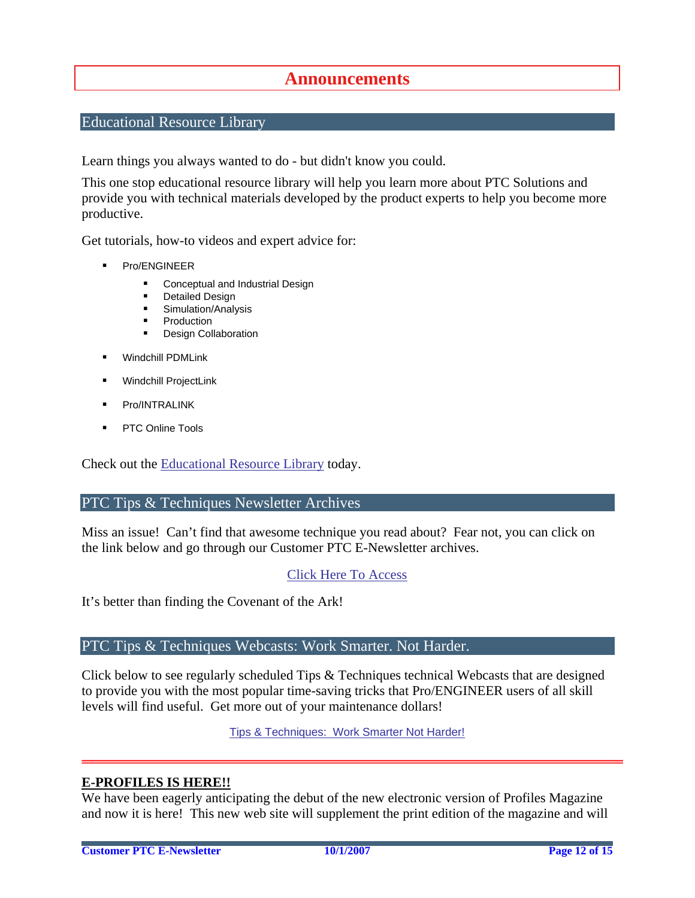## **Announcements**

#### <span id="page-11-0"></span>Educational Resource Library

Learn things you always wanted to do - but didn't know you could.

This one stop educational resource library will help you learn more about PTC Solutions and provide you with technical materials developed by the product experts to help you become more productive.

Get tutorials, how-to videos and expert advice for:

- **Pro/ENGINEER** 
	- **EXECONCEPT** Conceptual and Industrial Design
	- **•** Detailed Design
	- **Simulation/Analysis**
	- Production
	- **Design Collaboration**
- Windchill PDMLink
- Windchill ProjectLink
- Pro/INTRALINK
- PTC Online Tools

Check out the [Educational Resource Library](http://www.ptc.com/community/proewf/newtools/tutorials.htm) today.

#### PTC Tips & Techniques Newsletter Archives

Miss an issue! Can't find that awesome technique you read about? Fear not, you can click on the link below and go through our Customer PTC E-Newsletter archives.

#### [Click Here To Access](http://www.ptc.com/carezone/archive/index.htm)

It's better than finding the Covenant of the Ark!

#### PTC Tips & Techniques Webcasts: Work Smarter. Not Harder.

Click below to see regularly scheduled Tips & Techniques technical Webcasts that are designed to provide you with the most popular time-saving tricks that Pro/ENGINEER users of all skill levels will find useful. Get more out of your maintenance dollars!

Tips & Techniques: Work Smarter Not Harder!

#### **E-PROFILES IS HERE!!**

We have been eagerly anticipating the debut of the new electronic version of Profiles Magazine and now it is here! This new web site will supplement the print edition of the magazine and will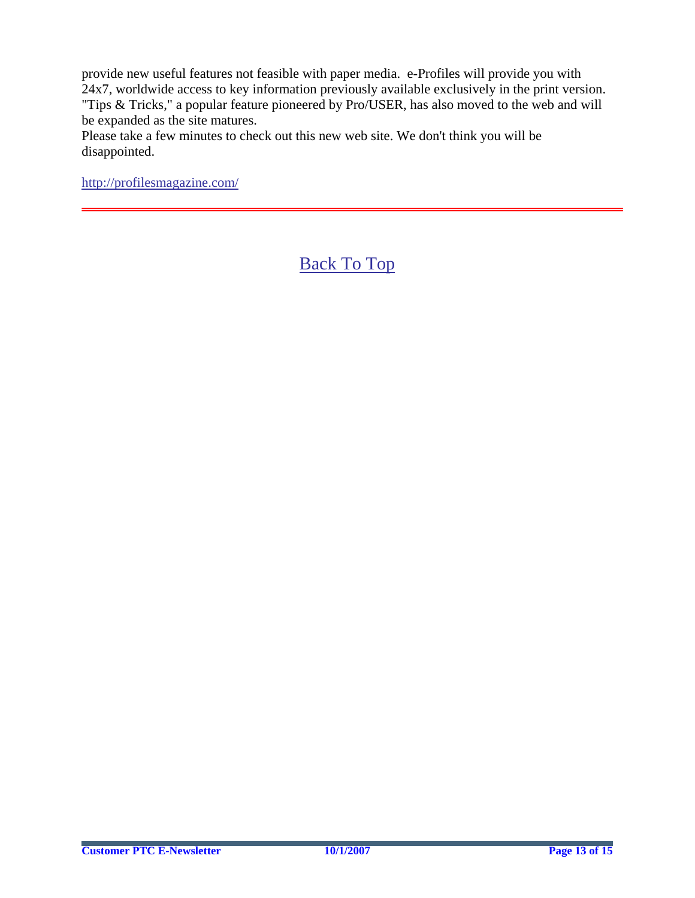provide new useful features not feasible with paper media. e-Profiles will provide you with 24x7, worldwide access to key information previously available exclusively in the print version. "Tips & Tricks," a popular feature pioneered by Pro/USER, has also moved to the web and will be expanded as the site matures.

Please take a few minutes to check out this new web site. We don't think you will be disappointed.

<http://profilesmagazine.com/>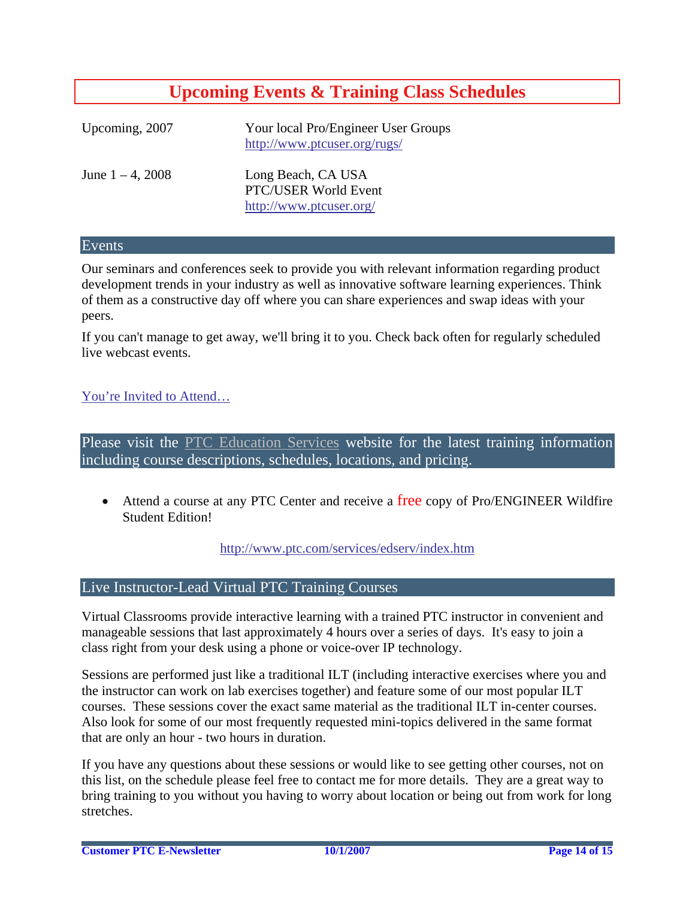# **Upcoming Events & Training Class Schedules**

<span id="page-13-0"></span>

| Upcoming, 2007      | Your local Pro/Engineer User Groups<br>http://www.ptcuser.org/rugs/   |
|---------------------|-----------------------------------------------------------------------|
| June $1 - 4$ , 2008 | Long Beach, CA USA<br>PTC/USER World Event<br>http://www.ptcuser.org/ |

#### Events

Our seminars and conferences seek to provide you with relevant information regarding product development trends in your industry as well as innovative software learning experiences. Think of them as a constructive day off where you can share experiences and swap ideas with your peers.

If you can't manage to get away, we'll bring it to you. Check back often for regularly scheduled live webcast events.

#### [You're Invited to Attend…](http://www.ptc.com/company/news/events/index.htm)

Please visit the [PTC Education Services](http://www.ptc.com/services/edserv/) website for the latest training information including course descriptions, schedules, locations, and pricing.

• Attend a course at any PTC Center and receive a free copy of Pro/ENGINEER Wildfire Student Edition!

<http://www.ptc.com/services/edserv/index.htm>

#### Live Instructor-Lead Virtual PTC Training Courses

Virtual Classrooms provide interactive learning with a trained PTC instructor in convenient and manageable sessions that last approximately 4 hours over a series of days. It's easy to join a class right from your desk using a phone or voice-over IP technology.

Sessions are performed just like a traditional ILT (including interactive exercises where you and the instructor can work on lab exercises together) and feature some of our most popular ILT courses. These sessions cover the exact same material as the traditional ILT in-center courses. Also look for some of our most frequently requested mini-topics delivered in the same format that are only an hour - two hours in duration.

If you have any questions about these sessions or would like to see getting other courses, not on this list, on the schedule please feel free to contact me for more details. They are a great way to bring training to you without you having to worry about location or being out from work for long stretches.